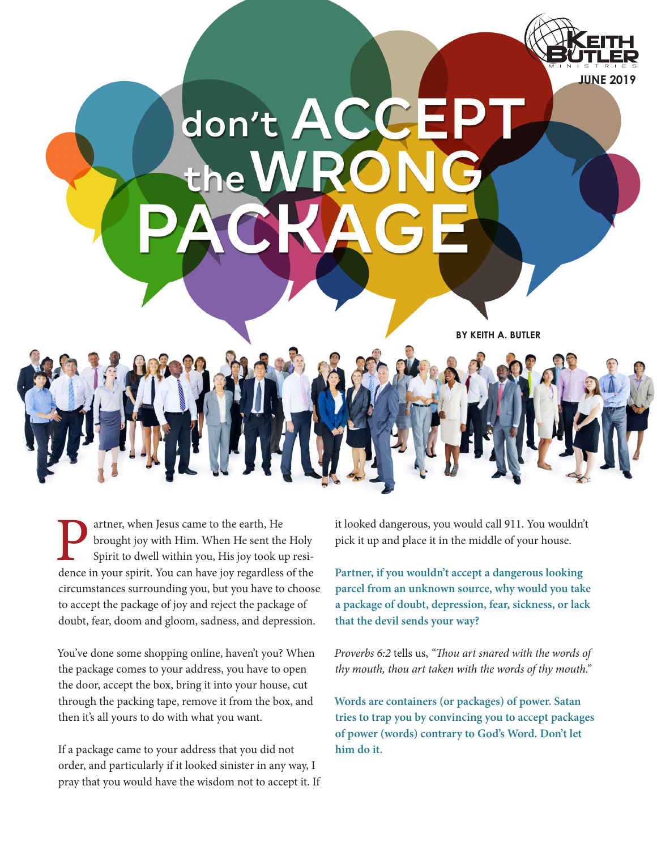

**Partner, when Jesus came to the earth, He**<br>brought joy with Him. When He sent the<br>Spirit to dwell within you, His joy took up<br>dence in your spirit. You can have joy regardless brought joy with Him. When He sent the Holy Spirit to dwell within you, His joy took up residence in your spirit. You can have joy regardless of the circumstances surrounding you, but you have to choose to accept the package of joy and reject the package of doubt, fear, doom and gloom, sadness, and depression.

You've done some shopping online, haven't you? When the package comes to your address, you have to open the door, accept the box, bring it into your house, cut through the packing tape, remove it from the box, and then it's all yours to do with what you want.

If a package came to your address that you did not order, and particularly if it looked sinister in any way, I pray that you would have the wisdom not to accept it. If it looked dangerous, you would call 911. You wouldn't pick it up and place it in the middle of your house.

**Partner, if you wouldn't accept a dangerous looking parcel from an unknown source, why would you take a package of doubt, depression, fear, sickness, or lack that the devil sends your way?** 

*Proverbs 6:2* tells us, *"Thou art snared with the words of thy mouth, thou art taken with the words of thy mouth."*

**Words are containers (or packages) of power. Satan tries to trap you by convincing you to accept packages of power (words) contrary to God's Word. Don't let him do it.**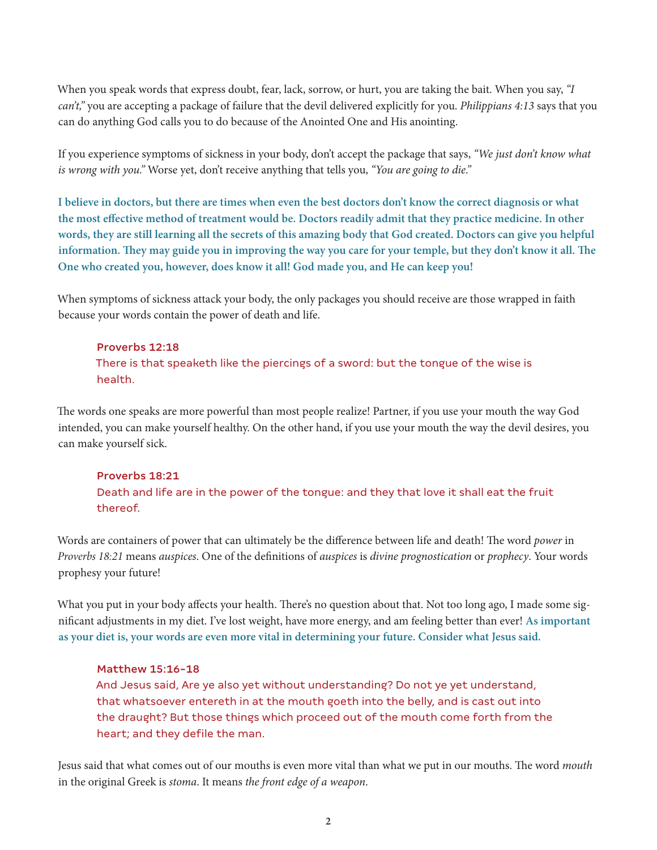When you speak words that express doubt, fear, lack, sorrow, or hurt, you are taking the bait. When you say, *"I can't,"* you are accepting a package of failure that the devil delivered explicitly for you. *Philippians 4:13* says that you can do anything God calls you to do because of the Anointed One and His anointing.

If you experience symptoms of sickness in your body, don't accept the package that says, *"We just don't know what is wrong with you."* Worse yet, don't receive anything that tells you, *"You are going to die."* 

**I believe in doctors, but there are times when even the best doctors don't know the correct diagnosis or what the most effective method of treatment would be. Doctors readily admit that they practice medicine. In other words, they are still learning all the secrets of this amazing body that God created. Doctors can give you helpful information. They may guide you in improving the way you care for your temple, but they don't know it all. The One who created you, however, does know it all! God made you, and He can keep you!** 

When symptoms of sickness attack your body, the only packages you should receive are those wrapped in faith because your words contain the power of death and life.

### Proverbs 12:18

There is that speaketh like the piercings of a sword: but the tongue of the wise is health.

The words one speaks are more powerful than most people realize! Partner, if you use your mouth the way God intended, you can make yourself healthy. On the other hand, if you use your mouth the way the devil desires, you can make yourself sick.

# Proverbs 18:21 Death and life are in the power of the tongue: and they that love it shall eat the fruit thereof.

Words are containers of power that can ultimately be the difference between life and death! The word *power* in *Proverbs 18:21* means *auspices*. One of the definitions of *auspices* is *divine prognostication* or *prophecy*. Your words prophesy your future!

What you put in your body affects your health. There's no question about that. Not too long ago, I made some significant adjustments in my diet. I've lost weight, have more energy, and am feeling better than ever! **As important as your diet is, your words are even more vital in determining your future. Consider what Jesus said.**

#### Matthew 15:16-18

And Jesus said, Are ye also yet without understanding? Do not ye yet understand, that whatsoever entereth in at the mouth goeth into the belly, and is cast out into the draught? But those things which proceed out of the mouth come forth from the heart; and they defile the man.

Jesus said that what comes out of our mouths is even more vital than what we put in our mouths. The word *mouth* in the original Greek is *stoma*. It means *the front edge of a weapon*.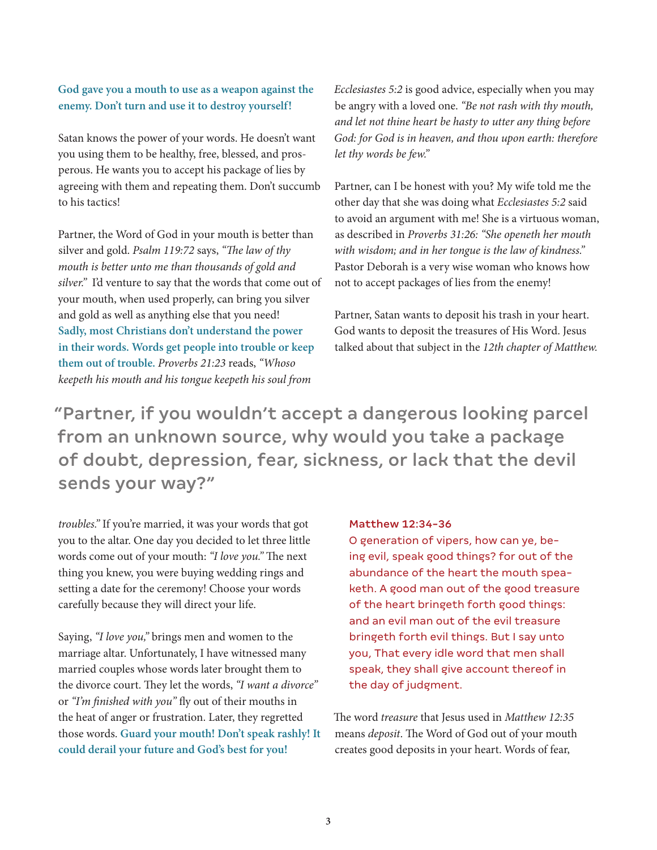## **God gave you a mouth to use as a weapon against the enemy. Don't turn and use it to destroy yourself!**

Satan knows the power of your words. He doesn't want you using them to be healthy, free, blessed, and prosperous. He wants you to accept his package of lies by agreeing with them and repeating them. Don't succumb to his tactics!

Partner, the Word of God in your mouth is better than silver and gold. *Psalm 119:72* says, *"The law of thy mouth is better unto me than thousands of gold and silver."* I'd venture to say that the words that come out of your mouth, when used properly, can bring you silver and gold as well as anything else that you need! **Sadly, most Christians don't understand the power in their words. Words get people into trouble or keep them out of trouble.** *Proverbs 21:23* reads, *"Whoso keepeth his mouth and his tongue keepeth his soul from* 

*Ecclesiastes 5:2* is good advice, especially when you may be angry with a loved one. *"Be not rash with thy mouth, and let not thine heart be hasty to utter any thing before God: for God is in heaven, and thou upon earth: therefore let thy words be few."*

Partner, can I be honest with you? My wife told me the other day that she was doing what *Ecclesiastes 5:2* said to avoid an argument with me! She is a virtuous woman, as described in *Proverbs 31:26: "She openeth her mouth with wisdom; and in her tongue is the law of kindness."*  Pastor Deborah is a very wise woman who knows how not to accept packages of lies from the enemy!

Partner, Satan wants to deposit his trash in your heart. God wants to deposit the treasures of His Word. Jesus talked about that subject in the *12th chapter of Matthew.*

"Partner, if you wouldn't accept a dangerous looking parcel from an unknown source, why would you take a package of doubt, depression, fear, sickness, or lack that the devil sends your way?"

*troubles."* If you're married, it was your words that got you to the altar. One day you decided to let three little words come out of your mouth: *"I love you."* The next thing you knew, you were buying wedding rings and setting a date for the ceremony! Choose your words carefully because they will direct your life.

Saying, *"I love you,"* brings men and women to the marriage altar. Unfortunately, I have witnessed many married couples whose words later brought them to the divorce court. They let the words, *"I want a divorce"*  or *"I'm finished with you"* fly out of their mouths in the heat of anger or frustration. Later, they regretted those words. **Guard your mouth! Don't speak rashly! It could derail your future and God's best for you!**

#### Matthew 12:34-36

O generation of vipers, how can ye, being evil, speak good things? for out of the abundance of the heart the mouth speaketh. A good man out of the good treasure of the heart bringeth forth good things: and an evil man out of the evil treasure bringeth forth evil things. But I say unto you, That every idle word that men shall speak, they shall give account thereof in the day of judgment.

The word *treasure* that Jesus used in *Matthew 12:35*  means *deposit*. The Word of God out of your mouth creates good deposits in your heart. Words of fear,